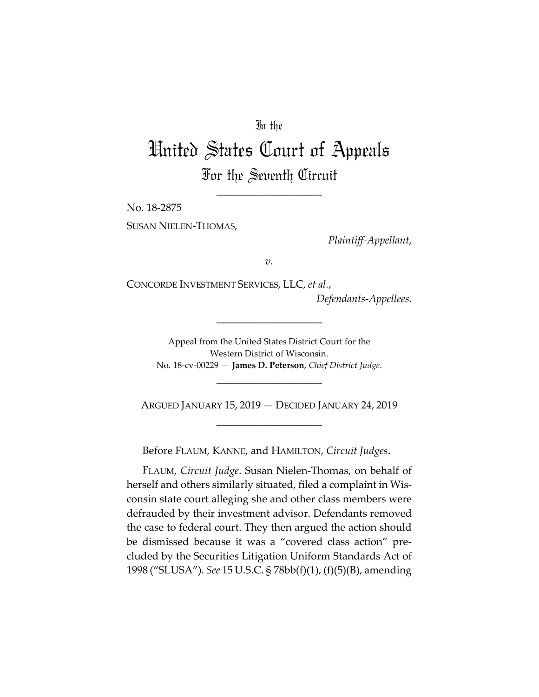### In the

# United States Court of Appeals For the Seventh Circuit

\_\_\_\_\_\_\_\_\_\_\_\_\_\_\_\_\_\_\_\_

No. 18-2875

SUSAN NIELEN-THOMAS,

*Plaintiff-Appellant*,

*v.*

CONCORDE INVESTMENT SERVICES, LLC, *et al.*,

*Defendants-Appellees*.

Appeal from the United States District Court for the Western District of Wisconsin. No. 18-cv-00229 — **James D. Peterson**, *Chief District Judge*.

\_\_\_\_\_\_\_\_\_\_\_\_\_\_\_\_\_\_\_\_

ARGUED JANUARY 15, 2019 — DECIDED JANUARY 24, 2019 \_\_\_\_\_\_\_\_\_\_\_\_\_\_\_\_\_\_\_\_

\_\_\_\_\_\_\_\_\_\_\_\_\_\_\_\_\_\_\_\_

Before FLAUM, KANNE, and HAMILTON, *Circuit Judges*.

FLAUM, *Circuit Judge*. Susan Nielen-Thomas, on behalf of herself and others similarly situated, filed a complaint in Wisconsin state court alleging she and other class members were defrauded by their investment advisor. Defendants removed the case to federal court. They then argued the action should be dismissed because it was a "covered class action" precluded by the Securities Litigation Uniform Standards Act of 1998 ("SLUSA"). *See* 15 U.S.C. § 78bb(f)(1), (f)(5)(B), amending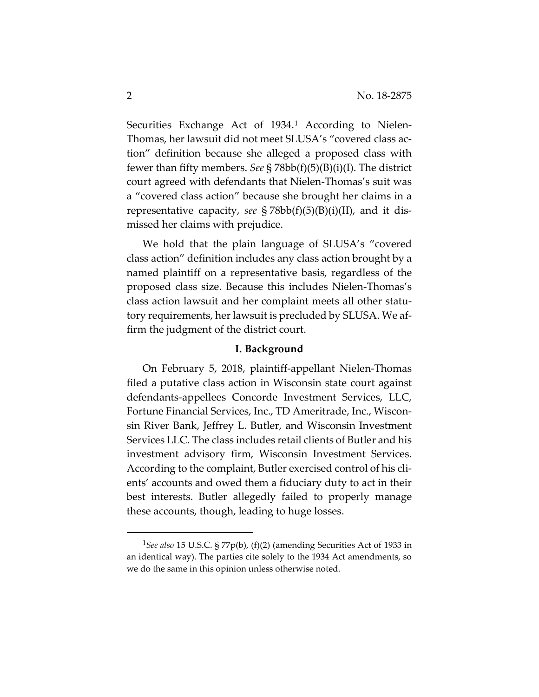Securities Exchange Act of [1](#page-1-0)934.<sup>1</sup> According to Nielen-Thomas, her lawsuit did not meet SLUSA's "covered class action" definition because she alleged a proposed class with fewer than fifty members. *See* § 78bb(f)(5)(B)(i)(I). The district court agreed with defendants that Nielen-Thomas's suit was a "covered class action" because she brought her claims in a representative capacity, *see* § 78bb(f)(5)(B)(i)(II), and it dismissed her claims with prejudice.

We hold that the plain language of SLUSA's "covered class action" definition includes any class action brought by a named plaintiff on a representative basis, regardless of the proposed class size. Because this includes Nielen-Thomas's class action lawsuit and her complaint meets all other statutory requirements, her lawsuit is precluded by SLUSA. We affirm the judgment of the district court.

#### **I. Background**

On February 5, 2018, plaintiff-appellant Nielen-Thomas filed a putative class action in Wisconsin state court against defendants-appellees Concorde Investment Services, LLC, Fortune Financial Services, Inc., TD Ameritrade, Inc., Wisconsin River Bank, Jeffrey L. Butler, and Wisconsin Investment Services LLC. The class includes retail clients of Butler and his investment advisory firm, Wisconsin Investment Services. According to the complaint, Butler exercised control of his clients' accounts and owed them a fiduciary duty to act in their best interests. Butler allegedly failed to properly manage these accounts, though, leading to huge losses.

<span id="page-1-0"></span> <sup>1</sup>*See also* 15 U.S.C. § 77p(b), (f)(2) (amending Securities Act of 1933 in an identical way). The parties cite solely to the 1934 Act amendments, so we do the same in this opinion unless otherwise noted.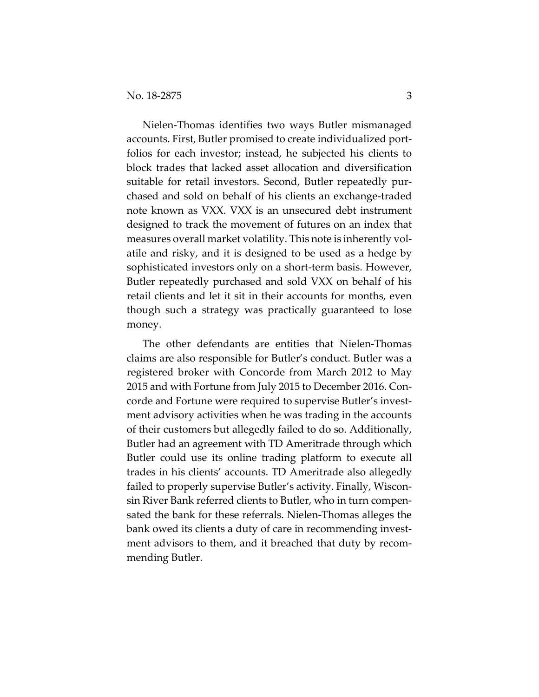Nielen-Thomas identifies two ways Butler mismanaged accounts. First, Butler promised to create individualized portfolios for each investor; instead, he subjected his clients to block trades that lacked asset allocation and diversification suitable for retail investors. Second, Butler repeatedly purchased and sold on behalf of his clients an exchange-traded note known as VXX. VXX is an unsecured debt instrument designed to track the movement of futures on an index that measures overall market volatility. This note is inherently volatile and risky, and it is designed to be used as a hedge by sophisticated investors only on a short-term basis. However, Butler repeatedly purchased and sold VXX on behalf of his retail clients and let it sit in their accounts for months, even though such a strategy was practically guaranteed to lose money.

The other defendants are entities that Nielen-Thomas claims are also responsible for Butler's conduct. Butler was a registered broker with Concorde from March 2012 to May 2015 and with Fortune from July 2015 to December 2016. Concorde and Fortune were required to supervise Butler's investment advisory activities when he was trading in the accounts of their customers but allegedly failed to do so. Additionally, Butler had an agreement with TD Ameritrade through which Butler could use its online trading platform to execute all trades in his clients' accounts. TD Ameritrade also allegedly failed to properly supervise Butler's activity. Finally, Wisconsin River Bank referred clients to Butler, who in turn compensated the bank for these referrals. Nielen-Thomas alleges the bank owed its clients a duty of care in recommending investment advisors to them, and it breached that duty by recommending Butler.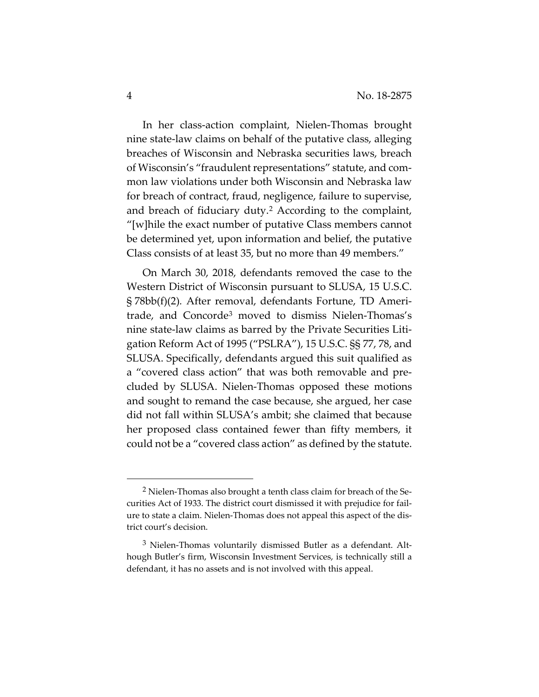In her class-action complaint, Nielen-Thomas brought nine state-law claims on behalf of the putative class, alleging breaches of Wisconsin and Nebraska securities laws, breach of Wisconsin's "fraudulent representations" statute, and common law violations under both Wisconsin and Nebraska law for breach of contract, fraud, negligence, failure to supervise, and breach of fiduciary duty.[2](#page-3-0) According to the complaint, "[w]hile the exact number of putative Class members cannot be determined yet, upon information and belief, the putative Class consists of at least 35, but no more than 49 members."

On March 30, 2018, defendants removed the case to the Western District of Wisconsin pursuant to SLUSA, 15 U.S.C. § 78bb(f)(2)*.* After removal, defendants Fortune, TD Ameritrade, and Concorde[3](#page-3-1) moved to dismiss Nielen-Thomas's nine state-law claims as barred by the Private Securities Litigation Reform Act of 1995 ("PSLRA"), 15 U.S.C. §§ 77, 78, and SLUSA. Specifically, defendants argued this suit qualified as a "covered class action" that was both removable and precluded by SLUSA. Nielen-Thomas opposed these motions and sought to remand the case because, she argued, her case did not fall within SLUSA's ambit; she claimed that because her proposed class contained fewer than fifty members, it could not be a "covered class action" as defined by the statute.

<span id="page-3-0"></span><sup>2</sup> Nielen-Thomas also brought a tenth class claim for breach of the Securities Act of 1933. The district court dismissed it with prejudice for failure to state a claim. Nielen-Thomas does not appeal this aspect of the district court's decision.

<span id="page-3-1"></span><sup>3</sup> Nielen-Thomas voluntarily dismissed Butler as a defendant. Although Butler's firm, Wisconsin Investment Services, is technically still a defendant, it has no assets and is not involved with this appeal.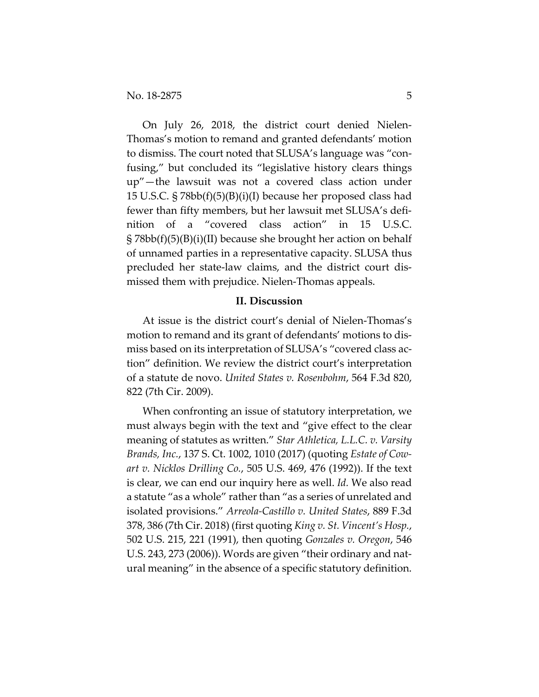On July 26, 2018, the district court denied Nielen-Thomas's motion to remand and granted defendants' motion to dismiss. The court noted that SLUSA's language was "confusing," but concluded its "legislative history clears things up"—the lawsuit was not a covered class action under 15 U.S.C. § 78bb(f)(5)(B)(i)(I) because her proposed class had fewer than fifty members, but her lawsuit met SLUSA's definition of a "covered class action" in 15 U.S.C. § 78bb(f)(5)(B)(i)(II) because she brought her action on behalf of unnamed parties in a representative capacity. SLUSA thus precluded her state-law claims, and the district court dismissed them with prejudice. Nielen-Thomas appeals.

#### **II. Discussion**

At issue is the district court's denial of Nielen-Thomas's motion to remand and its grant of defendants' motions to dismiss based on its interpretation of SLUSA's "covered class action" definition. We review the district court's interpretation of a statute de novo. *United States v. Rosenbohm*, 564 F.3d 820, 822 (7th Cir. 2009).

When confronting an issue of statutory interpretation, we must always begin with the text and "give effect to the clear meaning of statutes as written." *Star Athletica, L.L.C. v. Varsity Brands, Inc.*, 137 S. Ct. 1002, 1010 (2017) (quoting *Estate of Cowart v. Nicklos Drilling Co.*, 505 U.S. 469, 476 (1992)). If the text is clear, we can end our inquiry here as well. *Id.* We also read a statute "as a whole" rather than "as a series of unrelated and isolated provisions." *Arreola-Castillo v. United States*, 889 F.3d 378, 386 (7th Cir. 2018) (first quoting *King v. St. Vincent's Hosp.*, 502 U.S. 215, 221 (1991), then quoting *Gonzales v. Oregon*, 546 U.S. 243, 273 (2006)). Words are given "their ordinary and natural meaning" in the absence of a specific statutory definition.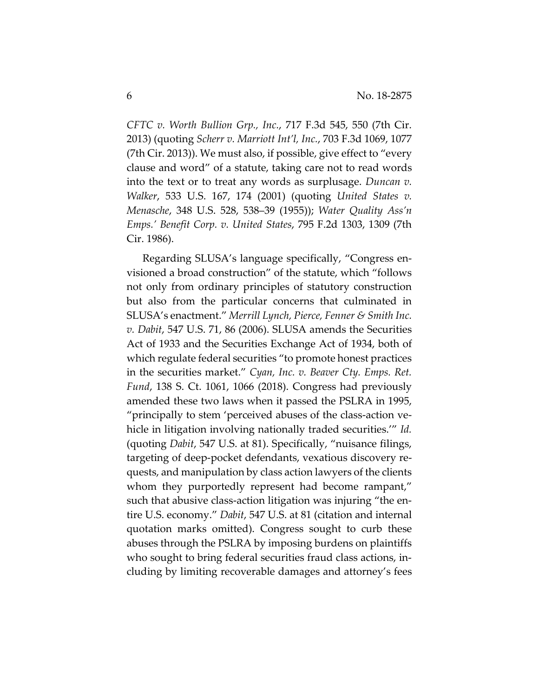*CFTC v. Worth Bullion Grp., Inc.*, 717 F.3d 545, 550 (7th Cir. 2013) (quoting *Scherr v. Marriott Int'l, Inc.*, 703 F.3d 1069, 1077 (7th Cir. 2013)). We must also, if possible, give effect to "every clause and word" of a statute, taking care not to read words into the text or to treat any words as surplusage. *Duncan v. Walker*, 533 U.S. 167, 174 (2001) (quoting *United States v. Menasche*, 348 U.S. 528, 538–39 (1955)); *Water Quality Ass'n Emps.' Benefit Corp. v. United States*, 795 F.2d 1303, 1309 (7th Cir. 1986).

Regarding SLUSA's language specifically, "Congress envisioned a broad construction" of the statute, which "follows not only from ordinary principles of statutory construction but also from the particular concerns that culminated in SLUSA's enactment." *Merrill Lynch, Pierce, Fenner & Smith Inc. v. Dabit*, 547 U.S. 71, 86 (2006). SLUSA amends the Securities Act of 1933 and the Securities Exchange Act of 1934, both of which regulate federal securities "to promote honest practices in the securities market." *Cyan, Inc. v. Beaver Cty. Emps. Ret. Fund*, 138 S. Ct. 1061, 1066 (2018). Congress had previously amended these two laws when it passed the PSLRA in 1995, "principally to stem 'perceived abuses of the class-action vehicle in litigation involving nationally traded securities.'" *Id.* (quoting *Dabit*, 547 U.S. at 81). Specifically, "nuisance filings, targeting of deep-pocket defendants, vexatious discovery requests, and manipulation by class action lawyers of the clients whom they purportedly represent had become rampant," such that abusive class-action litigation was injuring "the entire U.S. economy." *Dabit*, 547 U.S. at 81 (citation and internal quotation marks omitted). Congress sought to curb these abuses through the PSLRA by imposing burdens on plaintiffs who sought to bring federal securities fraud class actions, including by limiting recoverable damages and attorney's fees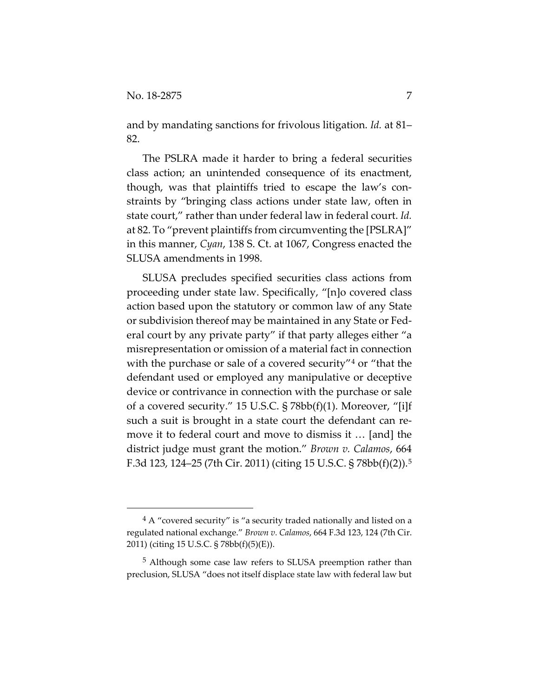$\overline{a}$ 

and by mandating sanctions for frivolous litigation. *Id.* at 81– 82.

The PSLRA made it harder to bring a federal securities class action; an unintended consequence of its enactment, though, was that plaintiffs tried to escape the law's constraints by "bringing class actions under state law, often in state court," rather than under federal law in federal court. *Id.* at 82. To "prevent plaintiffs from circumventing the [PSLRA]" in this manner, *Cyan*, 138 S. Ct. at 1067, Congress enacted the SLUSA amendments in 1998.

SLUSA precludes specified securities class actions from proceeding under state law. Specifically, "[n]o covered class action based upon the statutory or common law of any State or subdivision thereof may be maintained in any State or Federal court by any private party" if that party alleges either "a misrepresentation or omission of a material fact in connection with the purchase or sale of a covered security"<sup>[4](#page-6-0)</sup> or "that the defendant used or employed any manipulative or deceptive device or contrivance in connection with the purchase or sale of a covered security." 15 U.S.C. § 78bb(f)(1). Moreover, "[i]f such a suit is brought in a state court the defendant can remove it to federal court and move to dismiss it … [and] the district judge must grant the motion." *Brown v. Calamos*, 664 F.3d 123, 124–25 (7th Cir. 2011) (citing 15 U.S.C. § 78bb(f)(2)).[5](#page-6-1)

<span id="page-6-0"></span> $4A$  "covered security" is "a security traded nationally and listed on a regulated national exchange." *Brown v. Calamos*, 664 F.3d 123, 124 (7th Cir. 2011) (citing 15 U.S.C. § 78bb(f)(5)(E)).

<span id="page-6-1"></span><sup>5</sup> Although some case law refers to SLUSA preemption rather than preclusion, SLUSA "does not itself displace state law with federal law but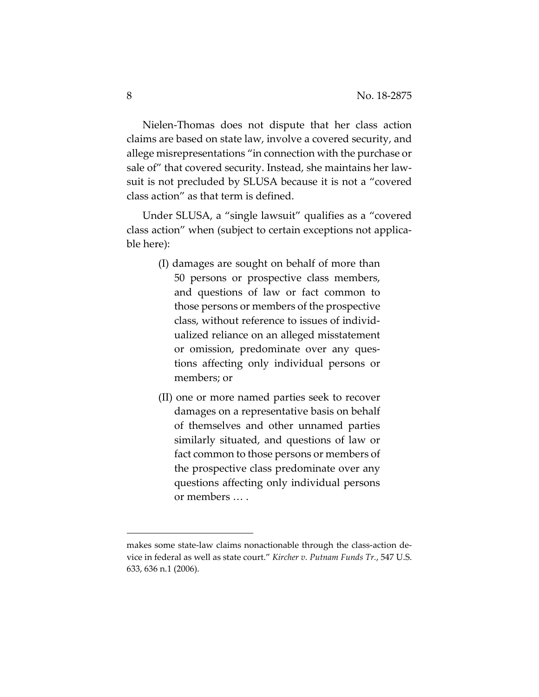Nielen-Thomas does not dispute that her class action claims are based on state law, involve a covered security, and allege misrepresentations "in connection with the purchase or sale of" that covered security. Instead, she maintains her lawsuit is not precluded by SLUSA because it is not a "covered class action" as that term is defined.

Under SLUSA, a "single lawsuit" qualifies as a "covered class action" when (subject to certain exceptions not applicable here):

- (I) damages are sought on behalf of more than 50 persons or prospective class members, and questions of law or fact common to those persons or members of the prospective class, without reference to issues of individualized reliance on an alleged misstatement or omission, predominate over any questions affecting only individual persons or members; or
- (II) one or more named parties seek to recover damages on a representative basis on behalf of themselves and other unnamed parties similarly situated, and questions of law or fact common to those persons or members of the prospective class predominate over any questions affecting only individual persons or members … .

makes some state-law claims nonactionable through the class-action device in federal as well as state court." *Kircher v. Putnam Funds Tr.*, 547 U.S. 633, 636 n.1 (2006).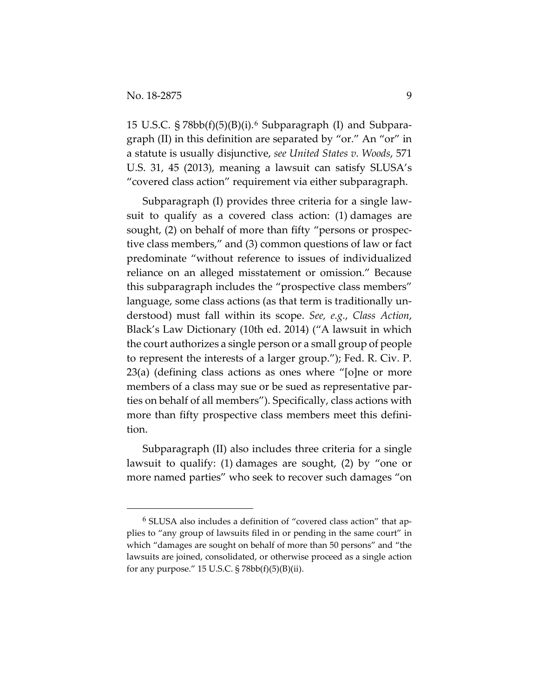15 U.S.C.  $\S 78bb(f)(5)(B)(i)$ .<sup>[6](#page-8-0)</sup> Subparagraph (I) and Subparagraph (II) in this definition are separated by "or." An "or" in a statute is usually disjunctive, *see United States v. Woods*, 571 U.S. 31, 45 (2013), meaning a lawsuit can satisfy SLUSA's "covered class action" requirement via either subparagraph.

Subparagraph (I) provides three criteria for a single lawsuit to qualify as a covered class action: (1) damages are sought, (2) on behalf of more than fifty "persons or prospective class members," and (3) common questions of law or fact predominate "without reference to issues of individualized reliance on an alleged misstatement or omission." Because this subparagraph includes the "prospective class members" language, some class actions (as that term is traditionally understood) must fall within its scope. *See, e.g.*, *Class Action*, Black's Law Dictionary (10th ed. 2014) ("A lawsuit in which the court authorizes a single person or a small group of people to represent the interests of a larger group."); Fed. R. Civ. P. 23(a) (defining class actions as ones where "[o]ne or more members of a class may sue or be sued as representative parties on behalf of all members"). Specifically, class actions with more than fifty prospective class members meet this definition.

Subparagraph (II) also includes three criteria for a single lawsuit to qualify: (1) damages are sought, (2) by "one or more named parties" who seek to recover such damages "on

<span id="page-8-0"></span> <sup>6</sup> SLUSA also includes a definition of "covered class action" that applies to "any group of lawsuits filed in or pending in the same court" in which "damages are sought on behalf of more than 50 persons" and "the lawsuits are joined, consolidated, or otherwise proceed as a single action for any purpose."  $15$  U.S.C. §  $78bb(f)(5)(B)(ii)$ .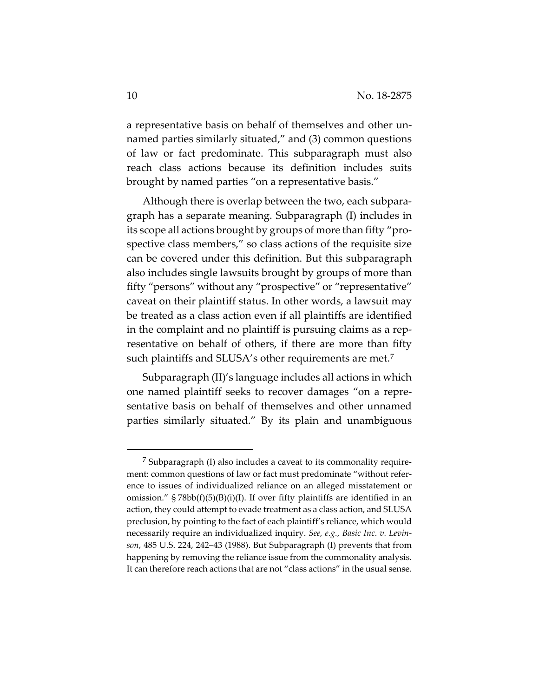a representative basis on behalf of themselves and other unnamed parties similarly situated," and (3) common questions of law or fact predominate. This subparagraph must also reach class actions because its definition includes suits brought by named parties "on a representative basis."

Although there is overlap between the two, each subparagraph has a separate meaning. Subparagraph (I) includes in its scope all actions brought by groups of more than fifty "prospective class members," so class actions of the requisite size can be covered under this definition. But this subparagraph also includes single lawsuits brought by groups of more than fifty "persons" without any "prospective" or "representative" caveat on their plaintiff status. In other words, a lawsuit may be treated as a class action even if all plaintiffs are identified in the complaint and no plaintiff is pursuing claims as a representative on behalf of others, if there are more than fifty such plaintiffs and SLUSA's other requirements are met.<sup>[7](#page-9-0)</sup>

Subparagraph (II)'s language includes all actions in which one named plaintiff seeks to recover damages "on a representative basis on behalf of themselves and other unnamed parties similarly situated." By its plain and unambiguous

<span id="page-9-0"></span><sup>7</sup> Subparagraph (I) also includes a caveat to its commonality requirement: common questions of law or fact must predominate "without reference to issues of individualized reliance on an alleged misstatement or omission."  $\S 78bb(f)(5)(B)(i)(I)$ . If over fifty plaintiffs are identified in an action, they could attempt to evade treatment as a class action, and SLUSA preclusion, by pointing to the fact of each plaintiff's reliance, which would necessarily require an individualized inquiry. *See, e.g.*, *Basic Inc. v. Levinson*, 485 U.S. 224, 242–43 (1988). But Subparagraph (I) prevents that from happening by removing the reliance issue from the commonality analysis. It can therefore reach actions that are not "class actions" in the usual sense.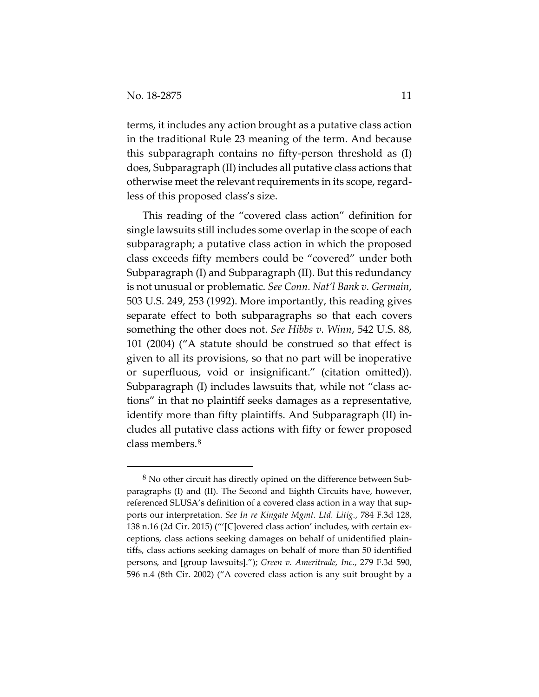$\overline{a}$ 

terms, it includes any action brought as a putative class action in the traditional Rule 23 meaning of the term. And because this subparagraph contains no fifty-person threshold as (I) does, Subparagraph (II) includes all putative class actions that otherwise meet the relevant requirements in its scope, regardless of this proposed class's size.

This reading of the "covered class action" definition for single lawsuits still includes some overlap in the scope of each subparagraph; a putative class action in which the proposed class exceeds fifty members could be "covered" under both Subparagraph (I) and Subparagraph (II). But this redundancy is not unusual or problematic. *See Conn. Nat'l Bank v. Germain*, 503 U.S. 249, 253 (1992). More importantly, this reading gives separate effect to both subparagraphs so that each covers something the other does not. *See Hibbs v. Winn*, 542 U.S. 88, 101 (2004) ("A statute should be construed so that effect is given to all its provisions, so that no part will be inoperative or superfluous, void or insignificant." (citation omitted)). Subparagraph (I) includes lawsuits that, while not "class actions" in that no plaintiff seeks damages as a representative, identify more than fifty plaintiffs. And Subparagraph (II) includes all putative class actions with fifty or fewer proposed class members.[8](#page-10-0)

<span id="page-10-0"></span> $8$  No other circuit has directly opined on the difference between Subparagraphs (I) and (II). The Second and Eighth Circuits have, however, referenced SLUSA's definition of a covered class action in a way that supports our interpretation. *See In re Kingate Mgmt. Ltd. Litig.*, 784 F.3d 128, 138 n.16 (2d Cir. 2015) ("'[C]overed class action' includes, with certain exceptions, class actions seeking damages on behalf of unidentified plaintiffs, class actions seeking damages on behalf of more than 50 identified persons, and [group lawsuits]."); *Green v. Ameritrade, Inc.*, 279 F.3d 590, 596 n.4 (8th Cir. 2002) ("A covered class action is any suit brought by a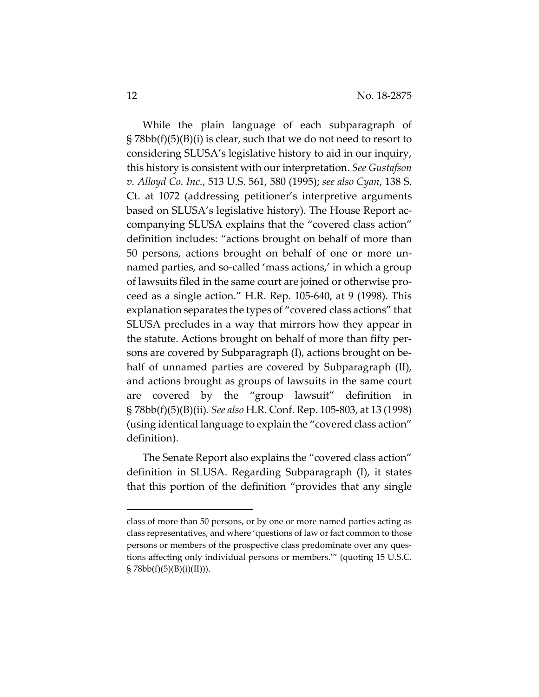While the plain language of each subparagraph of  $\S 78bb(f)(5)(B)(i)$  is clear, such that we do not need to resort to considering SLUSA's legislative history to aid in our inquiry, this history is consistent with our interpretation. *See Gustafson v. Alloyd Co. Inc.*, 513 U.S. 561, 580 (1995); *see also Cyan*, 138 S. Ct. at 1072 (addressing petitioner's interpretive arguments based on SLUSA's legislative history). The House Report accompanying SLUSA explains that the "covered class action" definition includes: "actions brought on behalf of more than 50 persons, actions brought on behalf of one or more unnamed parties, and so-called 'mass actions,' in which a group of lawsuits filed in the same court are joined or otherwise proceed as a single action." H.R. Rep. 105-640, at 9 (1998). This explanation separates the types of "covered class actions" that SLUSA precludes in a way that mirrors how they appear in the statute. Actions brought on behalf of more than fifty persons are covered by Subparagraph (I), actions brought on behalf of unnamed parties are covered by Subparagraph (II), and actions brought as groups of lawsuits in the same court are covered by the "group lawsuit" definition in § 78bb(f)(5)(B)(ii). *See also* H.R. Conf. Rep. 105-803, at 13 (1998) (using identical language to explain the "covered class action" definition).

The Senate Report also explains the "covered class action" definition in SLUSA. Regarding Subparagraph (I), it states that this portion of the definition "provides that any single

class of more than 50 persons, or by one or more named parties acting as class representatives, and where 'questions of law or fact common to those persons or members of the prospective class predominate over any questions affecting only individual persons or members.'" (quoting 15 U.S.C.  $\{5\}$  78bb(f)(5)(B)(i)(II))).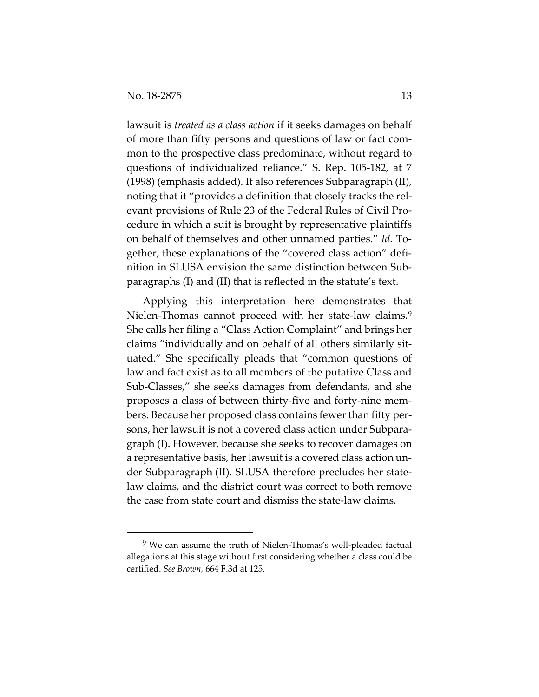lawsuit is *treated as a class action* if it seeks damages on behalf of more than fifty persons and questions of law or fact common to the prospective class predominate, without regard to questions of individualized reliance." S. Rep. 105-182, at 7 (1998) (emphasis added). It also references Subparagraph (II), noting that it "provides a definition that closely tracks the relevant provisions of Rule 23 of the Federal Rules of Civil Procedure in which a suit is brought by representative plaintiffs on behalf of themselves and other unnamed parties." *Id.* Together, these explanations of the "covered class action" definition in SLUSA envision the same distinction between Subparagraphs (I) and (II) that is reflected in the statute's text.

Applying this interpretation here demonstrates that Nielen-Thomas cannot proceed with her state-law claims.<sup>[9](#page-12-0)</sup> She calls her filing a "Class Action Complaint" and brings her claims "individually and on behalf of all others similarly situated." She specifically pleads that "common questions of law and fact exist as to all members of the putative Class and Sub-Classes," she seeks damages from defendants, and she proposes a class of between thirty-five and forty-nine members. Because her proposed class contains fewer than fifty persons, her lawsuit is not a covered class action under Subparagraph (I). However, because she seeks to recover damages on a representative basis, her lawsuit is a covered class action under Subparagraph (II). SLUSA therefore precludes her statelaw claims, and the district court was correct to both remove the case from state court and dismiss the state-law claims.

<span id="page-12-0"></span> <sup>9</sup> We can assume the truth of Nielen-Thomas's well-pleaded factual allegations at this stage without first considering whether a class could be certified. *See Brown*, 664 F.3d at 125.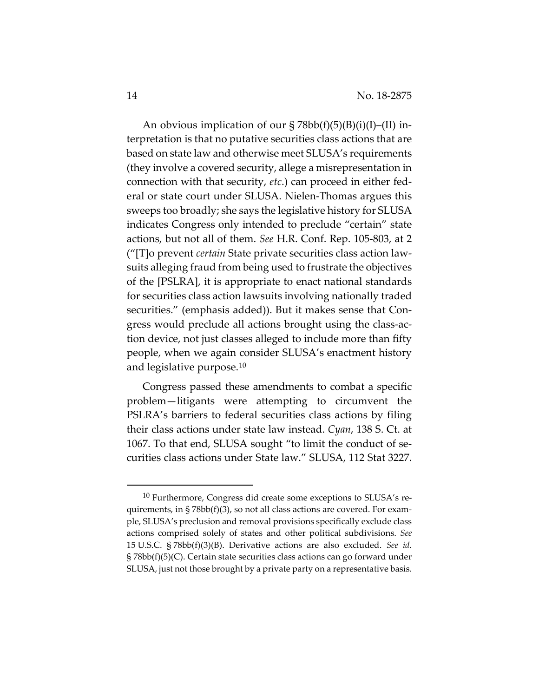An obvious implication of our  $\S 78bb(f)(5)(B)(i)(I)$ –(II) interpretation is that no putative securities class actions that are based on state law and otherwise meet SLUSA's requirements (they involve a covered security, allege a misrepresentation in connection with that security, *etc*.) can proceed in either federal or state court under SLUSA. Nielen-Thomas argues this sweeps too broadly; she says the legislative history for SLUSA indicates Congress only intended to preclude "certain" state actions, but not all of them. *See* H.R. Conf. Rep. 105-803, at 2 ("[T]o prevent *certain* State private securities class action lawsuits alleging fraud from being used to frustrate the objectives of the [PSLRA], it is appropriate to enact national standards for securities class action lawsuits involving nationally traded securities." (emphasis added)). But it makes sense that Congress would preclude all actions brought using the class-action device, not just classes alleged to include more than fifty people, when we again consider SLUSA's enactment history and legislative purpose.[10](#page-13-0)

Congress passed these amendments to combat a specific problem—litigants were attempting to circumvent the PSLRA's barriers to federal securities class actions by filing their class actions under state law instead. *Cyan*, 138 S. Ct. at 1067. To that end, SLUSA sought "to limit the conduct of securities class actions under State law." SLUSA, 112 Stat 3227.

<span id="page-13-0"></span> <sup>10</sup> Furthermore, Congress did create some exceptions to SLUSA's requirements, in § 78bb(f)(3), so not all class actions are covered. For example, SLUSA's preclusion and removal provisions specifically exclude class actions comprised solely of states and other political subdivisions. *See*  15 U.S.C. § 78bb(f)(3)(B). Derivative actions are also excluded. *See id.* § 78bb(f)(5)(C). Certain state securities class actions can go forward under SLUSA, just not those brought by a private party on a representative basis.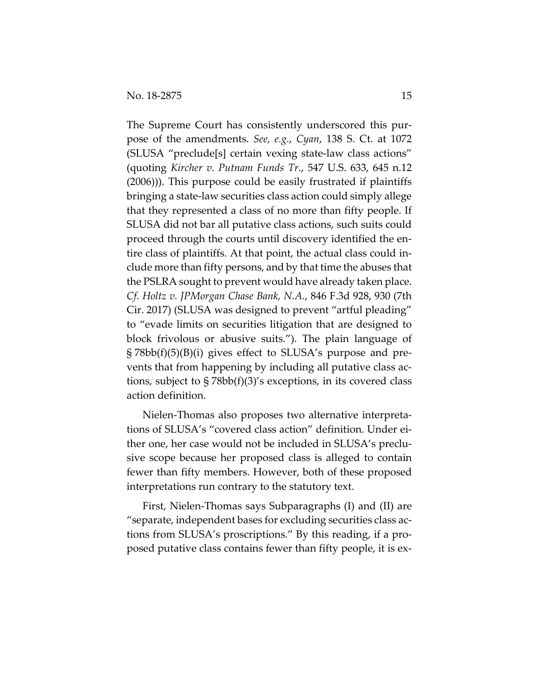The Supreme Court has consistently underscored this purpose of the amendments. *See, e.g.*, *Cyan*, 138 S. Ct. at 1072 (SLUSA "preclude[s] certain vexing state-law class actions" (quoting *Kircher v. Putnam Funds Tr.*, 547 U.S. 633, 645 n.12 (2006))). This purpose could be easily frustrated if plaintiffs bringing a state-law securities class action could simply allege that they represented a class of no more than fifty people. If SLUSA did not bar all putative class actions, such suits could proceed through the courts until discovery identified the entire class of plaintiffs. At that point, the actual class could include more than fifty persons, and by that time the abuses that the PSLRA sought to prevent would have already taken place. *Cf. Holtz v. JPMorgan Chase Bank, N.A.*, 846 F.3d 928, 930 (7th Cir. 2017) (SLUSA was designed to prevent "artful pleading" to "evade limits on securities litigation that are designed to block frivolous or abusive suits."). The plain language of § 78bb(f)(5)(B)(i) gives effect to SLUSA's purpose and prevents that from happening by including all putative class actions, subject to § 78bb(f)(3)'s exceptions, in its covered class action definition.

Nielen-Thomas also proposes two alternative interpretations of SLUSA's "covered class action" definition. Under either one, her case would not be included in SLUSA's preclusive scope because her proposed class is alleged to contain fewer than fifty members. However, both of these proposed interpretations run contrary to the statutory text.

First, Nielen-Thomas says Subparagraphs (I) and (II) are "separate, independent bases for excluding securities class actions from SLUSA's proscriptions." By this reading, if a proposed putative class contains fewer than fifty people, it is ex-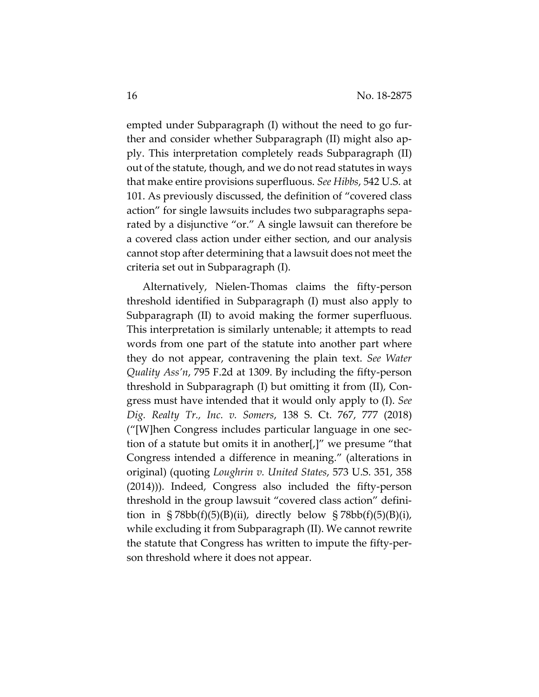empted under Subparagraph (I) without the need to go further and consider whether Subparagraph (II) might also apply. This interpretation completely reads Subparagraph (II) out of the statute, though, and we do not read statutes in ways that make entire provisions superfluous. *See Hibbs*, 542 U.S. at 101. As previously discussed, the definition of "covered class action" for single lawsuits includes two subparagraphs separated by a disjunctive "or." A single lawsuit can therefore be a covered class action under either section, and our analysis cannot stop after determining that a lawsuit does not meet the criteria set out in Subparagraph (I).

Alternatively, Nielen-Thomas claims the fifty-person threshold identified in Subparagraph (I) must also apply to Subparagraph (II) to avoid making the former superfluous. This interpretation is similarly untenable; it attempts to read words from one part of the statute into another part where they do not appear, contravening the plain text. *See Water Quality Ass'n*, 795 F.2d at 1309. By including the fifty-person threshold in Subparagraph (I) but omitting it from (II), Congress must have intended that it would only apply to (I). *See Dig. Realty Tr., Inc. v. Somers*, 138 S. Ct. 767, 777 (2018) ("[W]hen Congress includes particular language in one section of a statute but omits it in another[,]" we presume "that Congress intended a difference in meaning." (alterations in original) (quoting *Loughrin v. United States*, 573 U.S. 351, 358 (2014))). Indeed, Congress also included the fifty-person threshold in the group lawsuit "covered class action" definition in  $\S 78bb(f)(5)(B)(ii)$ , directly below  $\S 78bb(f)(5)(B)(i)$ , while excluding it from Subparagraph (II). We cannot rewrite the statute that Congress has written to impute the fifty-person threshold where it does not appear.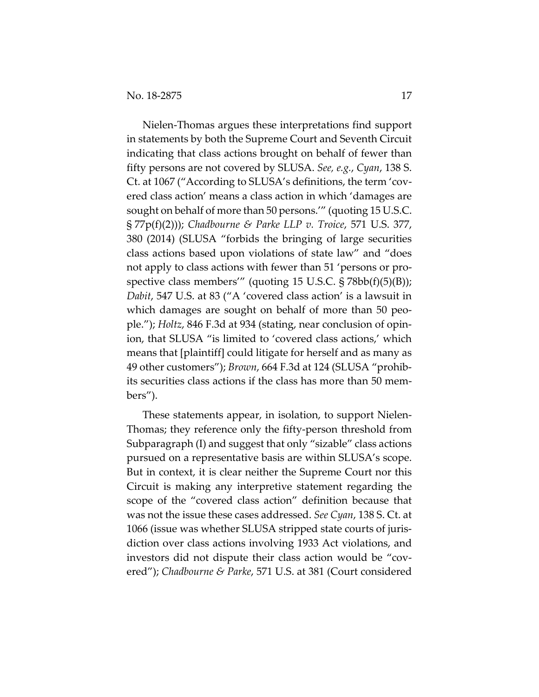Nielen-Thomas argues these interpretations find support in statements by both the Supreme Court and Seventh Circuit indicating that class actions brought on behalf of fewer than fifty persons are not covered by SLUSA. *See, e.g.*, *Cyan*, 138 S. Ct. at 1067 ("According to SLUSA's definitions, the term 'covered class action' means a class action in which 'damages are sought on behalf of more than 50 persons.'" (quoting 15 U.S.C. § 77p(f)(2))); *Chadbourne & Parke LLP v. Troice*, 571 U.S. 377, 380 (2014) (SLUSA "forbids the bringing of large securities class actions based upon violations of state law" and "does not apply to class actions with fewer than 51 'persons or prospective class members'" (quoting 15 U.S.C. § 78bb(f)(5)(B)); *Dabit*, 547 U.S. at 83 ("A 'covered class action' is a lawsuit in which damages are sought on behalf of more than 50 people."); *Holtz*, 846 F.3d at 934 (stating, near conclusion of opinion, that SLUSA "is limited to 'covered class actions,' which means that [plaintiff] could litigate for herself and as many as 49 other customers"); *Brown*, 664 F.3d at 124 (SLUSA "prohibits securities class actions if the class has more than 50 members").

These statements appear, in isolation, to support Nielen-Thomas; they reference only the fifty-person threshold from Subparagraph (I) and suggest that only "sizable" class actions pursued on a representative basis are within SLUSA's scope. But in context, it is clear neither the Supreme Court nor this Circuit is making any interpretive statement regarding the scope of the "covered class action" definition because that was not the issue these cases addressed. *See Cyan*, 138 S. Ct. at 1066 (issue was whether SLUSA stripped state courts of jurisdiction over class actions involving 1933 Act violations, and investors did not dispute their class action would be "covered"); *Chadbourne & Parke*, 571 U.S. at 381 (Court considered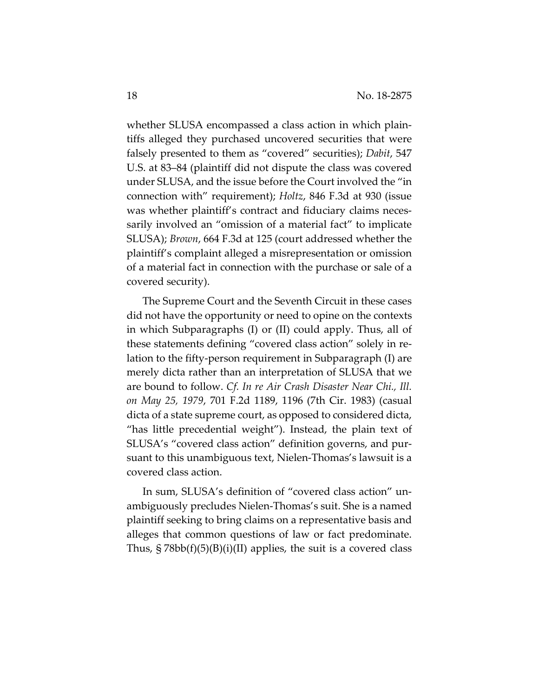whether SLUSA encompassed a class action in which plaintiffs alleged they purchased uncovered securities that were falsely presented to them as "covered" securities); *Dabit*, 547 U.S. at 83–84 (plaintiff did not dispute the class was covered under SLUSA, and the issue before the Court involved the "in connection with" requirement); *Holtz*, 846 F.3d at 930 (issue was whether plaintiff's contract and fiduciary claims necessarily involved an "omission of a material fact" to implicate SLUSA); *Brown*, 664 F.3d at 125 (court addressed whether the plaintiff's complaint alleged a misrepresentation or omission of a material fact in connection with the purchase or sale of a covered security).

The Supreme Court and the Seventh Circuit in these cases did not have the opportunity or need to opine on the contexts in which Subparagraphs (I) or (II) could apply. Thus, all of these statements defining "covered class action" solely in relation to the fifty-person requirement in Subparagraph (I) are merely dicta rather than an interpretation of SLUSA that we are bound to follow. *Cf. In re Air Crash Disaster Near Chi., Ill. on May 25, 1979*, 701 F.2d 1189, 1196 (7th Cir. 1983) (casual dicta of a state supreme court, as opposed to considered dicta, "has little precedential weight"). Instead, the plain text of SLUSA's "covered class action" definition governs, and pursuant to this unambiguous text, Nielen-Thomas's lawsuit is a covered class action.

In sum, SLUSA's definition of "covered class action" unambiguously precludes Nielen-Thomas's suit. She is a named plaintiff seeking to bring claims on a representative basis and alleges that common questions of law or fact predominate. Thus,  $\S 78bb(f)(5)(B)(i)(II)$  applies, the suit is a covered class